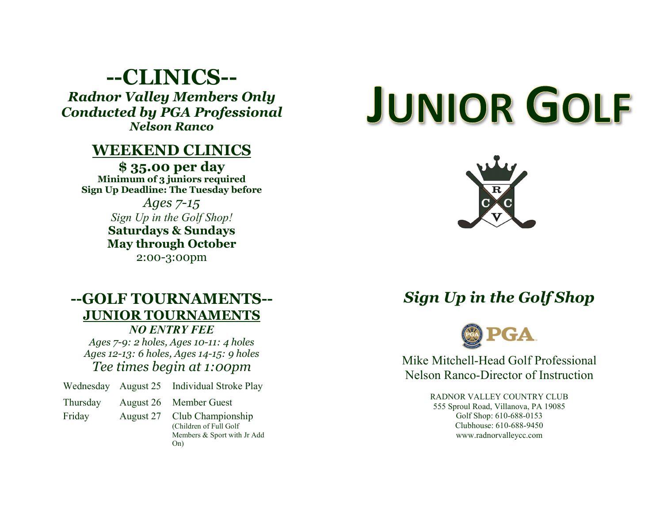## --CLINICS-- Radnor Valley Members Only Conducted by PGA Professional Nelson Ranco

## WEEKEND CLINICS

\$ 35.00 per day Minimum of 3 juniors required Sign Up Deadline: The Tuesday before

> Ages 7-15 Sign Up in the Golf Shop! Saturdays & Sundays May through October 2:00-3:00pm

#### --GOLF TOURNAMENTS-- JUNIOR TOURNAMENTS NO ENTRY FEE

Ages 7-9: 2 holes, Ages 10-11: 4 holes Ages 12-13: 6 holes, Ages 14-15: 9 holes Tee times begin at 1:00pm

Wednesday August 25 Individual Stroke Play

Thursday August 26 Member Guest

Friday August 27 Club Championship

(Children of Full Golf Members & Sport with Jr Add On)

# **JUNIOR GOLF**



## Sign Up in the Golf Shop



Mike Mitchell-Head Golf Professional Nelson Ranco-Director of Instruction

> RADNOR VALLEY COUNTRY CLUB 555 Sproul Road, Villanova, PA 19085 Golf Shop: 610-688-0153 Clubhouse: 610-688-9450 www.radnorvalleycc.com